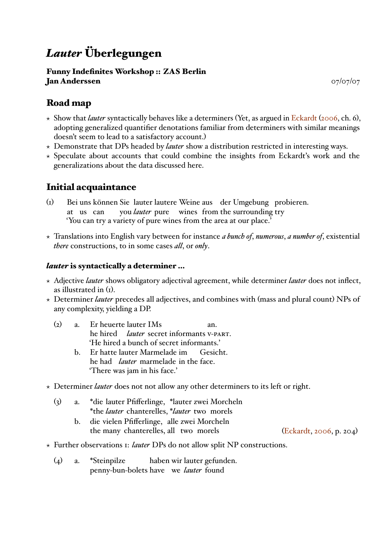# Lauter Überlegungen

## Funny Indefinites Workshop :: ZAS Berlin **Jan Anderssen** 07/07/07

# Road map

- $\star$  Show that *lauter* syntactically behaves like a determiners (Yet, as argued in [Eckardt](#page-6-0) [\(2006,](#page-6-0) ch. 6), adopting generalized quantifier denotations familiar from determiners with similar meanings doesn't seem to lead to a satisfactory account.)
- ? Demonstrate that DPs headed by *lauter* show a distribution restricted in interesting ways.
- $\star$  Speculate about accounts that could combine the insights from Eckardt's work and the generalizations about the data discussed here.

# Initial acquaintance

- (1) Bei uns können Sie lauter lautere Weine aus der Umgebung probieren. at us can you *lauter* pure wines from the surrounding try 'You can try a variety of pure wines from the area at our place.'
- ? Translations into English vary between for instance *a bunch of*, *numerous*, *a number of*, existential *there* constructions, to in some cases *all*, or *only*.

## *lauter* is syntactically a determiner ...

- \* Adjective *lauter* shows obligatory adjectival agreement, while determiner *lauter* does not inflect, as illustrated in (1).
- ? Determiner *lauter* precedes all adjectives, and combines with (mass and plural count) NPs of any complexity, yielding a DP.
	- $(2)$  a. he hired *lauter* secret informants v-PART. heuerte lauter IMs an. 'He hired a bunch of secret informants.'
		- b. Er hatte lauter Marmelade im he had *lauter* marmelade in the face. Gesicht. There was jam in his face.'
- ? Determiner *lauter* does not not allow any other determiners to its left or right.
	- (3) a. \*die lauter Pfifferlinge, \*lauter zwei Morcheln \*the *lauter* chanterelles, \**lauter* two morels
		- b. the many chanterelles, all two vielen Pfifferlinge, alle zwei Morcheln

[\(Eckardt,](#page-6-0) [2006,](#page-6-0) p. 204)

- ? Further observations 1: *lauter* DPs do not allow split NP constructions.
	- (4) a. \*Steinpilze penny-bun-bolets have we *lauter* foundhaben wir lauter gefunden.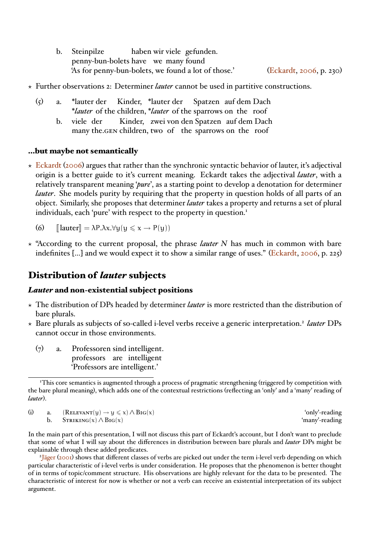- b. Steinpilze penny-bun-bolets have we many found haben wir viele gefunden. 'As for penny-bun-bolets, we found a lot of those.' [\(Eckardt,](#page-6-0) [2006,](#page-6-0) p. 230)
- ? Further observations 2: Determiner *lauter* cannot be used in partitive constructions.
	- (5) a. \*lauter der \**lauter* of the children, \**lauter* of the sparrows on the roof Kinder, \*lauter der Spatzen auf dem Dach
		- b. viele der many the.gen children, two of the sparrows on the roof Kinder, zwei von den Spatzen auf dem Dach

### ...but maybe not semantically

- $\star$  [Eckardt](#page-6-0) [\(2006\)](#page-6-0) argues that rather than the synchronic syntactic behavior of lauter, it's adjectival origin is a better guide to it's current meaning. Eckardt takes the adjectival *lauter*, with a relatively transparent meaning '*pure*', as a starting point to develop a denotation for determiner *lauter*. She models purity by requiring that the property in question holds of all parts of an object. Similarly, she proposes that determiner *lauter* takes a property and returns a set of plural individuals, each 'pure' with respect to the property in question.<sup>1</sup>
	- (6)  $\|\text{lauter}\| = \lambda P.\lambda x.\forall y (y \leq x \rightarrow P(y))$
- $*$  "According to the current proposal, the phrase *lauter* N has much in common with bare indefinites  $[...]$  and we would expect it to show a similar range of uses." [\(Eckardt,](#page-6-0) [2006,](#page-6-0) p. 225)

## Distribution of *lauter* subjects

### *Lauter* and non-existential subject positions

- ? The distribution of DPs headed by determiner *lauter* is more restricted than the distribution of bare plurals.
- \* Bare plurals as subjects of so-called i-level verbs receive a generic interpretation.<sup>2</sup> lauter DPs cannot occur in those environments.
	- (7) a. Professoren sind intelligent. professors are intelligent 'Professors are intelligent.'

<sup>&</sup>lt;sup>1</sup>This core semantics is augmented through a process of pragmatic strengthening (triggered by competition with the bare plural meaning), which adds one of the contextual restrictions (reflecting an 'only' and a 'many' reading of *lauter*).

|  | a. $(RELEVANT(y) \rightarrow y \leq x) \wedge BIG(x)$ | 'only'-reading |
|--|-------------------------------------------------------|----------------|
|  | b. $STRIKING(x) \wedge Big(x)$                        | 'many'-reading |

In the main part of this presentation, I will not discuss this part of Eckardt's account, but I don't want to preclude that some of what I will say about the differences in distribution between bare plurals and *lauter* DPs might be explainable through these added predicates.

<sup>2</sup>Jäger [\(2001\)](#page-6-1) shows that different classes of verbs are picked out under the term i-level verb depending on which particular characteristic of i-level verbs is under consideration. He proposes that the phenomenon is better thought of in terms of topic/comment structure. His observations are highly relevant for the data to be presented. The characteristic of interest for now is whether or not a verb can receive an existential interpretation of its subject argument.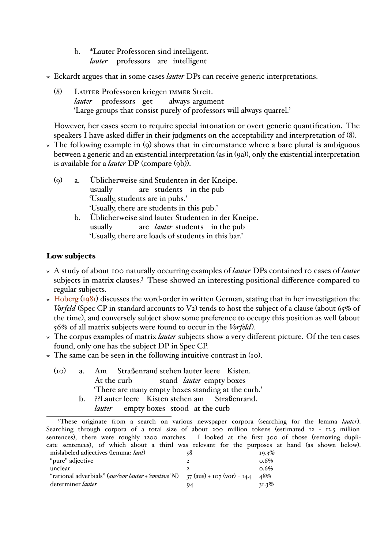- b. \*Lauter Professoren sind intelligent. *lauter* professors are intelligent
- $\star$  Eckardt argues that in some cases *lauter* DPs can receive generic interpretations.
	- (8) Lauter Professoren kriegen immer Streit. *lauter* professors get always argument 'Large groups that consist purely of professors will always quarrel.'

However, her cases seem to require special intonation or overt generic quantication. The speakers I have asked differ in their judgments on the acceptability and interpretation of  $(8)$ .

 $\star$  The following example in (9) shows that in circumstance where a bare plural is ambiguous between a generic and an existential interpretation (as in (9a)), only the existential interpretation is available for a *lauter* DP (compare (9b)).

| $\circ$ | a. Üblicherweise sind Studenten in der Kneipe.        |
|---------|-------------------------------------------------------|
|         | usually are students in the pub                       |
|         | 'Usually, students are in pubs.'                      |
|         | 'Usually, there are students in this pub.'            |
|         | b. Üblicherweise sind lauter Studenten in der Kneipe. |
|         | usually are <i>lauter</i> students in the pub         |
|         |                                                       |

'Usually, there are loads of students in this bar.'

## Low subjects

- ? A study of about 100 naturally occurring examples of *lauter* DPs contained 10 cases of *lauter* subjects in matrix clauses.<sup>3</sup> These showed an interesting positional difference compared to regular subjects.
- $\star$  [Hoberg](#page-6-2) [\(1981\)](#page-6-2) discusses the word-order in written German, stating that in her investigation the *Vorfeld* (Spec CP in standard accounts to V<sub>2</sub>) tends to host the subject of a clause (about 65% of the time), and conversely subject show some preference to occupy this position as well (about 56% of all matrix subjects were found to occur in the *Vorfeld*).
- \* The corpus examples of matrix *lauter* subjects show a very different picture. Of the ten cases found, only one has the subject DP in Spec CP.
- $\star$  The same can be seen in the following intuitive contrast in (10).

| $_{\rm (o1)}$ | a. Am Straßenrand stehen lauter leere Kisten.     |
|---------------|---------------------------------------------------|
|               | At the curb stand <i>lauter</i> empty boxes       |
|               | There are many empty boxes standing at the curb.' |
|               | b. ??Lauter leere Kisten stehen am Straßenrand.   |
|               | <i>lauter</i> empty boxes stood at the curb       |

<sup>3</sup>These originate from a search on various newspaper corpora (searching for the lemma *lauter*). Searching through corpora of a total size of about 200 million tokens (estimated 12 - 12.5 million sentences), there were roughly 1200 matches. I looked at the first 300 of those (removing duplicate sentences), of which about a third was relevant for the purposes at hand (as shown below). mislabeled adjectives (lemma: *laut*) 58 58 19.3% "pure" adjective  $\frac{1}{2}$  0.6%  $\mu$  unclear  $\alpha$  0.6%

<sup>&</sup>quot;rational adverbials" (*aus/vor lauter + 'emotive' N*)  $37 \text{ (aus)} + 107 \text{ (vor)} = 144$   $48\%$ determiner *lauter* 94 31.3%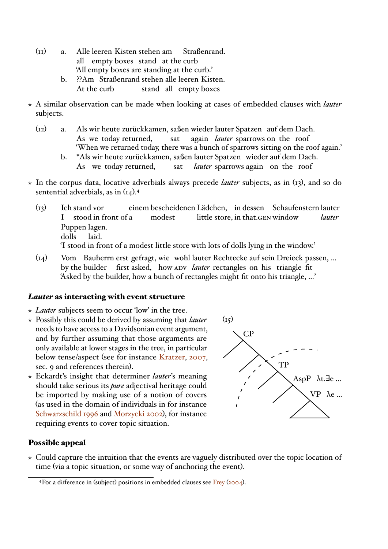- (11) a. Alle leeren Kisten stehen am all empty boxes stand at the curb Straßenrand. All empty boxes are standing at the curb.<sup>7</sup>
	- b. ??Am Straßenrand stehen alle leeren Kisten. At the curb stand all empty boxes
- ? A similar observation can be made when looking at cases of embedded clauses with *lauter* subjects.
	- (12) a. Als wir heute zurückkamen, saßen wieder lauter Spatzen auf dem Dach. As we today returned, sat again *lauter* sparrows on the roof 'When we returned today, there was a bunch of sparrows sitting on the roof again.'
		- b. \*Als wir heute zurückkamen, saßen lauter Spatzen wieder auf dem Dach. As we today returned, sat *lauter* sparrows again on the roof
- $\star$  In the corpus data, locative adverbials always precede *lauter* subjects, as in (13), and so do sentential adverbials, as in  $(t<sub>4</sub>)$ .<sup>4</sup>
	- $(I_3)$ I stood in front of a stand vor einem bescheidenen Lädchen, in dessen Schaufenstern lauter modest little store, in that.gen window *lauter* Puppen lagen. dolls laid. 'I stood in front of a modest little store with lots of dolls lying in the window.'
	- (14) Vom Bauherrn erst gefragt, wie wohl lauter Rechtecke auf sein Dreieck passen, Ö by the builder first asked, how ADV *lauter* rectangles on his triangle fit Asked by the builder, how a bunch of rectangles might fit onto his triangle, ...'

### *Lauter* as interacting with event structure

- \* *Lauter* subjects seem to occur 'low' in the tree.
- ? Possibly this could be derived by assuming that *lauter* needs to have access to a Davidsonian event argument, and by further assuming that those arguments are only available at lower stages in the tree, in particular below tense/aspect (see for instance [Kratzer,](#page-6-3) [2007,](#page-6-3) sec. 9 and references therein).
- \* Eckardt's insight that determiner *lauter's* meaning should take serious its *pure* adjectival heritage could be imported by making use of a notion of covers (as used in the domain of individuals in for instance [Schwarzschild](#page-6-4) [1996](#page-6-4) and [Morzycki](#page-6-5) [2002\)](#page-6-5), for instance requiring events to cover topic situation.



## Possible appeal

 $\star$  Could capture the intuition that the events are vaguely distributed over the topic location of time (via a topic situation, or some way of anchoring the event).

 $4$ For a difference in (subject) positions in embedded clauses see [Frey](#page-6-6) [\(2004\)](#page-6-6).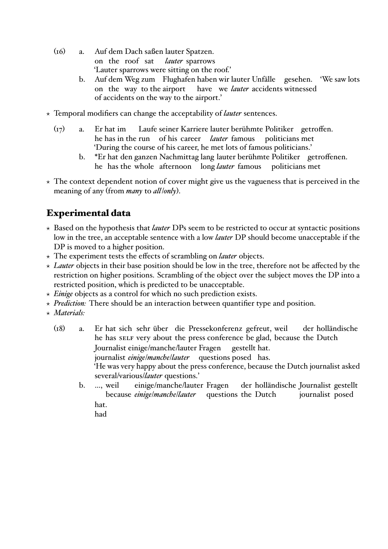- (16) a. Auf dem Dach saflen lauter Spatzen. on the roof sat *lauter* sparrows 'Lauter sparrows were sitting on the roof.'
	- b. Auf dem Weg zum Flughafen haben wir lauter Unfälle gesehen. 'We saw lots on the way to the airport have we *lauter* accidents witnessed of accidents on the way to the airport.'
- \* Temporal modifiers can change the acceptability of *lauter* sentences.
	- $(r7)$  a. he has in the run of his career *lauter* famous hat im Laufe seiner Karriere lauter berühmte Politiker §getroffen. politicians met 'During the course of his career, he met lots of famous politicians.'
		- b. \*Er hat den ganzen Nachmittag lang lauter berühmte Politiker getroffenen. he has the whole afternoon long *lauter* famous politicians met
- $\star$  The context dependent notion of cover might give us the vagueness that is perceived in the meaning of any (from *many* to *all*/*only*).

## Experimental data

- ? Based on the hypothesis that *lauter* DPs seem to be restricted to occur at syntactic positions low in the tree, an acceptable sentence with a low *lauter* DP should become unacceptable if the DP is moved to a higher position.
- $\star$  The experiment tests the effects of scrambling on *lauter* objects.
- $\star$  *Lauter* objects in their base position should be low in the tree, therefore not be affected by the restriction on higher positions. Scrambling of the object over the subject moves the DP into a restricted position, which is predicted to be unacceptable.
- $\star$  *Einige* objects as a control for which no such prediction exists.
- $\star$  *Prediction*: There should be an interaction between quantifier type and position.
- ? *Materials:*
	- $(18)$  a. he has se⊔r very about the press conference be glad, because the Dutch hat sich sehr über die Pressekonferenz gefreut, weil der holländische Journalist einige/manche/lauter Fragen journalist *einige*/*manche*/*lauter* questions posed has. gestellt hat. ëHe was very happy about the press conference, because the Dutch journalist asked several/various/*lauter* questions.'
		- b. ..., weil because *einige*/*manche*/*lauter* einige/manche/lauter Fragen questions the Dutch der holländische Journalist gestellt journalist posed hat. had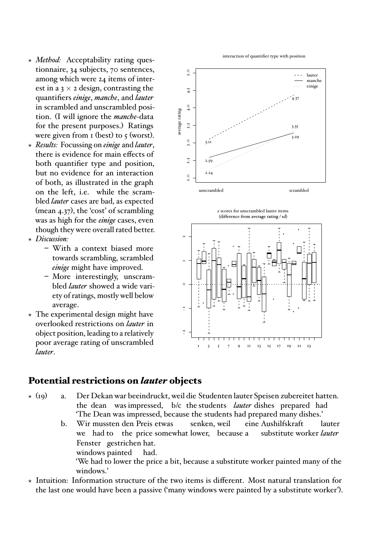- ? *Method:* Acceptability rating questionnaire, 34 subjects, 70 sentences, among which were 24 items of interest in a  $3 \times 2$  design, contrasting the quantiers *einige*, *manche*, and *lauter* in scrambled and unscrambled position. (I will ignore the *manche*-data for the present purposes.) Ratings were given from  $\sigma$  (best) to  $\sigma$  (worst).
- ? *Results:* Focussing on *einige* and *lauter*, there is evidence for main effects of both quantifier type and position, but no evidence for an interaction of both, as illustrated in the graph on the left, i.e. while the scrambled *lauter* cases are bad, as expected (mean  $4.37$ ), the 'cost' of scrambling was as high for the *einige* cases, even though they were overall rated better.
- ? *Discussion:*
	- With a context biased more towards scrambling, scrambled *einige* might have improved.
	- More interestingly, unscrambled *lauter* showed a wide variety of ratings, mostly well below average.
- $\star$  The experimental design might have overlooked restrictions on *lauter* in object position, leading to a relatively poor average rating of unscrambled *lauter*.





## Potential restrictions on *lauter* objects

- $\star$  (19) a. the dean was impressed, b/c the students *lauter* dishes prepared had Dekan war beeindruckt, weil die Studenten lauter Speisen zubereitet hatten. The Dean was impressed, because the students had prepared many dishes.'
	- b. Wir mussten den Preis etwas we had to the price somewhat lower, because a senken, weil eine Aushilfskraft substitute worker *lauter* lauter Fenster gestrichen hat.
		- windows painted had.

ëWe had to lower the price a bit, because a substitute worker painted many of the windows.'

 $\star$  Intuition: Information structure of the two items is different. Most natural translation for the last one would have been a passive ('many windows were painted by a substitute worker').